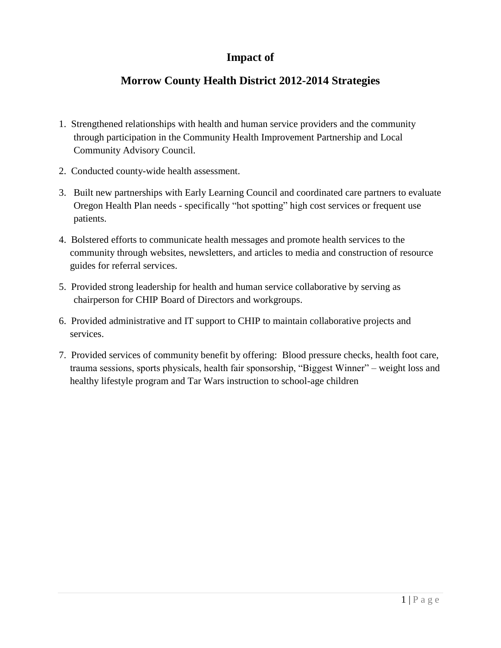## **Impact of**

## **Morrow County Health District 2012-2014 Strategies**

- 1. Strengthened relationships with health and human service providers and the community through participation in the Community Health Improvement Partnership and Local Community Advisory Council.
- 2. Conducted county-wide health assessment.
- 3. Built new partnerships with Early Learning Council and coordinated care partners to evaluate Oregon Health Plan needs - specifically "hot spotting" high cost services or frequent use patients.
- 4. Bolstered efforts to communicate health messages and promote health services to the community through websites, newsletters, and articles to media and construction of resource guides for referral services.
- 5. Provided strong leadership for health and human service collaborative by serving as chairperson for CHIP Board of Directors and workgroups.
- 6. Provided administrative and IT support to CHIP to maintain collaborative projects and services.
- 7. Provided services of community benefit by offering: Blood pressure checks, health foot care, trauma sessions, sports physicals, health fair sponsorship, "Biggest Winner" – weight loss and healthy lifestyle program and Tar Wars instruction to school-age children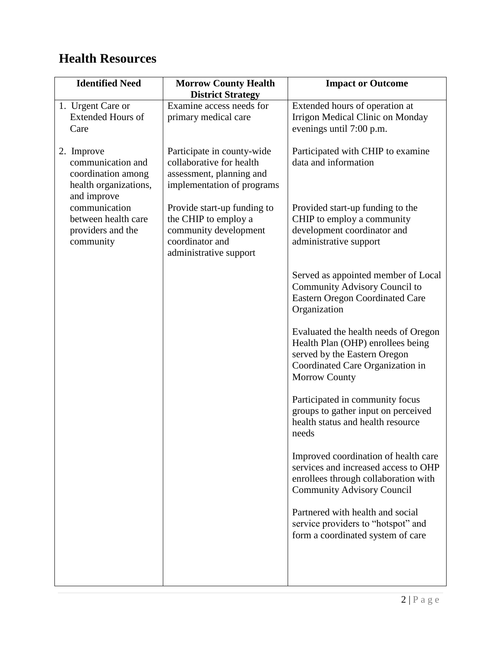## **Health Resources**

| <b>Identified Need</b>                                                                        | <b>Morrow County Health</b>                                                                                               | <b>Impact or Outcome</b>                                                                                                                                              |
|-----------------------------------------------------------------------------------------------|---------------------------------------------------------------------------------------------------------------------------|-----------------------------------------------------------------------------------------------------------------------------------------------------------------------|
|                                                                                               | <b>District Strategy</b>                                                                                                  |                                                                                                                                                                       |
| 1. Urgent Care or<br><b>Extended Hours of</b><br>Care                                         | Examine access needs for<br>primary medical care                                                                          | Extended hours of operation at<br>Irrigon Medical Clinic on Monday<br>evenings until 7:00 p.m.                                                                        |
| 2. Improve<br>communication and<br>coordination among<br>health organizations,<br>and improve | Participate in county-wide<br>collaborative for health<br>assessment, planning and<br>implementation of programs          | Participated with CHIP to examine<br>data and information                                                                                                             |
| communication<br>between health care<br>providers and the<br>community                        | Provide start-up funding to<br>the CHIP to employ a<br>community development<br>coordinator and<br>administrative support | Provided start-up funding to the<br>CHIP to employ a community<br>development coordinator and<br>administrative support                                               |
|                                                                                               |                                                                                                                           | Served as appointed member of Local<br>Community Advisory Council to<br><b>Eastern Oregon Coordinated Care</b><br>Organization                                        |
|                                                                                               |                                                                                                                           | Evaluated the health needs of Oregon<br>Health Plan (OHP) enrollees being<br>served by the Eastern Oregon<br>Coordinated Care Organization in<br><b>Morrow County</b> |
|                                                                                               |                                                                                                                           | Participated in community focus<br>groups to gather input on perceived<br>health status and health resource<br>needs                                                  |
|                                                                                               |                                                                                                                           | Improved coordination of health care<br>services and increased access to OHP<br>enrollees through collaboration with<br><b>Community Advisory Council</b>             |
|                                                                                               |                                                                                                                           | Partnered with health and social<br>service providers to "hotspot" and<br>form a coordinated system of care                                                           |
|                                                                                               |                                                                                                                           |                                                                                                                                                                       |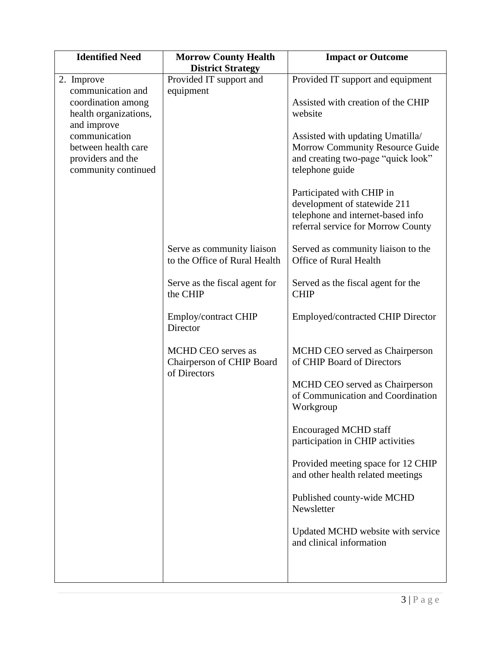| <b>Identified Need</b>               | <b>Morrow County Health</b><br><b>District Strategy</b> | <b>Impact or Outcome</b>                                              |
|--------------------------------------|---------------------------------------------------------|-----------------------------------------------------------------------|
| 2. Improve                           | Provided IT support and                                 | Provided IT support and equipment                                     |
| communication and                    | equipment                                               |                                                                       |
| coordination among                   |                                                         | Assisted with creation of the CHIP                                    |
| health organizations,                |                                                         | website                                                               |
| and improve                          |                                                         |                                                                       |
| communication<br>between health care |                                                         | Assisted with updating Umatilla/                                      |
| providers and the                    |                                                         | Morrow Community Resource Guide<br>and creating two-page "quick look" |
| community continued                  |                                                         | telephone guide                                                       |
|                                      |                                                         |                                                                       |
|                                      |                                                         | Participated with CHIP in                                             |
|                                      |                                                         | development of statewide 211                                          |
|                                      |                                                         | telephone and internet-based info                                     |
|                                      |                                                         | referral service for Morrow County                                    |
|                                      | Serve as community liaison                              | Served as community liaison to the                                    |
|                                      | to the Office of Rural Health                           | <b>Office of Rural Health</b>                                         |
|                                      |                                                         |                                                                       |
|                                      | Serve as the fiscal agent for                           | Served as the fiscal agent for the                                    |
|                                      | the CHIP                                                | <b>CHIP</b>                                                           |
|                                      | <b>Employ/contract CHIP</b>                             | <b>Employed/contracted CHIP Director</b>                              |
|                                      | Director                                                |                                                                       |
|                                      | MCHD CEO serves as                                      | MCHD CEO served as Chairperson                                        |
|                                      | Chairperson of CHIP Board                               | of CHIP Board of Directors                                            |
|                                      | of Directors                                            |                                                                       |
|                                      |                                                         | MCHD CEO served as Chairperson                                        |
|                                      |                                                         | of Communication and Coordination                                     |
|                                      |                                                         | Workgroup                                                             |
|                                      |                                                         | <b>Encouraged MCHD staff</b>                                          |
|                                      |                                                         | participation in CHIP activities                                      |
|                                      |                                                         |                                                                       |
|                                      |                                                         | Provided meeting space for 12 CHIP                                    |
|                                      |                                                         | and other health related meetings                                     |
|                                      |                                                         | Published county-wide MCHD                                            |
|                                      |                                                         | Newsletter                                                            |
|                                      |                                                         |                                                                       |
|                                      |                                                         | Updated MCHD website with service                                     |
|                                      |                                                         | and clinical information                                              |
|                                      |                                                         |                                                                       |
|                                      |                                                         |                                                                       |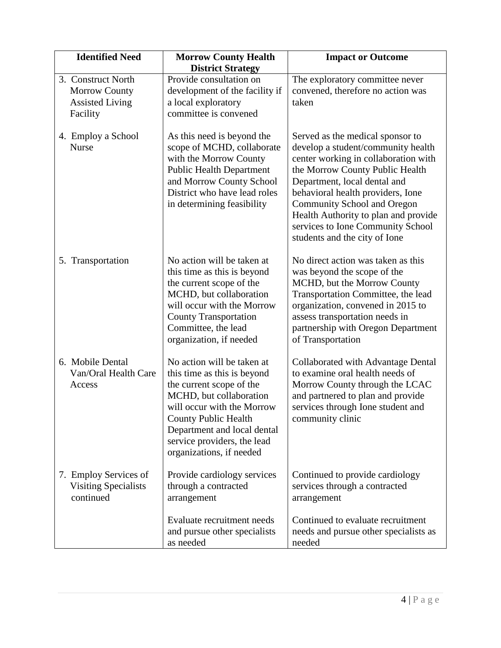| <b>Identified Need</b>                                                           | <b>Morrow County Health</b><br><b>District Strategy</b>                                                                                                                                                                                                                 | <b>Impact or Outcome</b>                                                                                                                                                                                                                                                                                                                                                   |
|----------------------------------------------------------------------------------|-------------------------------------------------------------------------------------------------------------------------------------------------------------------------------------------------------------------------------------------------------------------------|----------------------------------------------------------------------------------------------------------------------------------------------------------------------------------------------------------------------------------------------------------------------------------------------------------------------------------------------------------------------------|
| 3. Construct North<br><b>Morrow County</b><br><b>Assisted Living</b><br>Facility | Provide consultation on<br>development of the facility if<br>a local exploratory<br>committee is convened                                                                                                                                                               | The exploratory committee never<br>convened, therefore no action was<br>taken                                                                                                                                                                                                                                                                                              |
| 4. Employ a School<br><b>Nurse</b>                                               | As this need is beyond the<br>scope of MCHD, collaborate<br>with the Morrow County<br><b>Public Health Department</b><br>and Morrow County School<br>District who have lead roles<br>in determining feasibility                                                         | Served as the medical sponsor to<br>develop a student/community health<br>center working in collaboration with<br>the Morrow County Public Health<br>Department, local dental and<br>behavioral health providers, Ione<br><b>Community School and Oregon</b><br>Health Authority to plan and provide<br>services to Ione Community School<br>students and the city of Ione |
| 5. Transportation                                                                | No action will be taken at<br>this time as this is beyond<br>the current scope of the<br>MCHD, but collaboration<br>will occur with the Morrow<br><b>County Transportation</b><br>Committee, the lead<br>organization, if needed                                        | No direct action was taken as this<br>was beyond the scope of the<br>MCHD, but the Morrow County<br>Transportation Committee, the lead<br>organization, convened in 2015 to<br>assess transportation needs in<br>partnership with Oregon Department<br>of Transportation                                                                                                   |
| 6. Mobile Dental<br>Van/Oral Health Care<br>Access                               | No action will be taken at<br>this time as this is beyond<br>the current scope of the<br>MCHD, but collaboration<br>will occur with the Morrow<br><b>County Public Health</b><br>Department and local dental<br>service providers, the lead<br>organizations, if needed | Collaborated with Advantage Dental<br>to examine oral health needs of<br>Morrow County through the LCAC<br>and partnered to plan and provide<br>services through Ione student and<br>community clinic                                                                                                                                                                      |
| 7. Employ Services of<br><b>Visiting Specialists</b><br>continued                | Provide cardiology services<br>through a contracted<br>arrangement                                                                                                                                                                                                      | Continued to provide cardiology<br>services through a contracted<br>arrangement                                                                                                                                                                                                                                                                                            |
|                                                                                  | Evaluate recruitment needs<br>and pursue other specialists<br>as needed                                                                                                                                                                                                 | Continued to evaluate recruitment<br>needs and pursue other specialists as<br>needed                                                                                                                                                                                                                                                                                       |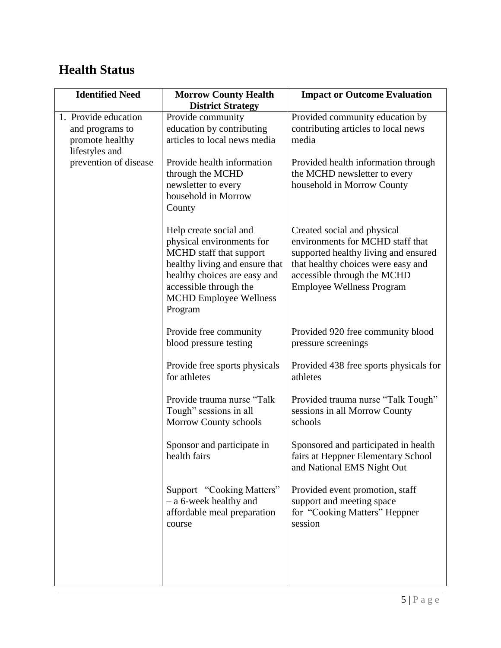## **Health Status**

| <b>Identified Need</b> | <b>Morrow County Health</b>                    | <b>Impact or Outcome Evaluation</b>                                    |
|------------------------|------------------------------------------------|------------------------------------------------------------------------|
| 1. Provide education   | <b>District Strategy</b>                       |                                                                        |
| and programs to        | Provide community<br>education by contributing | Provided community education by<br>contributing articles to local news |
| promote healthy        | articles to local news media                   | media                                                                  |
| lifestyles and         |                                                |                                                                        |
| prevention of disease  | Provide health information                     | Provided health information through                                    |
|                        | through the MCHD                               | the MCHD newsletter to every                                           |
|                        | newsletter to every                            | household in Morrow County                                             |
|                        | household in Morrow                            |                                                                        |
|                        | County                                         |                                                                        |
|                        |                                                |                                                                        |
|                        | Help create social and                         | Created social and physical                                            |
|                        | physical environments for                      | environments for MCHD staff that                                       |
|                        | MCHD staff that support                        | supported healthy living and ensured                                   |
|                        | healthy living and ensure that                 | that healthy choices were easy and                                     |
|                        | healthy choices are easy and                   | accessible through the MCHD                                            |
|                        | accessible through the                         | <b>Employee Wellness Program</b>                                       |
|                        | <b>MCHD</b> Employee Wellness                  |                                                                        |
|                        | Program                                        |                                                                        |
|                        | Provide free community                         | Provided 920 free community blood                                      |
|                        | blood pressure testing                         | pressure screenings                                                    |
|                        |                                                |                                                                        |
|                        | Provide free sports physicals                  | Provided 438 free sports physicals for                                 |
|                        | for athletes                                   | athletes                                                               |
|                        |                                                |                                                                        |
|                        | Provide trauma nurse "Talk                     | Provided trauma nurse "Talk Tough"                                     |
|                        | Tough" sessions in all                         | sessions in all Morrow County                                          |
|                        | Morrow County schools                          | schools                                                                |
|                        | Sponsor and participate in                     | Sponsored and participated in health                                   |
|                        | health fairs                                   | fairs at Heppner Elementary School                                     |
|                        |                                                | and National EMS Night Out                                             |
|                        |                                                |                                                                        |
|                        | Support "Cooking Matters"                      | Provided event promotion, staff                                        |
|                        | - a 6-week healthy and                         | support and meeting space                                              |
|                        | affordable meal preparation                    | for "Cooking Matters" Heppner                                          |
|                        | course                                         | session                                                                |
|                        |                                                |                                                                        |
|                        |                                                |                                                                        |
|                        |                                                |                                                                        |
|                        |                                                |                                                                        |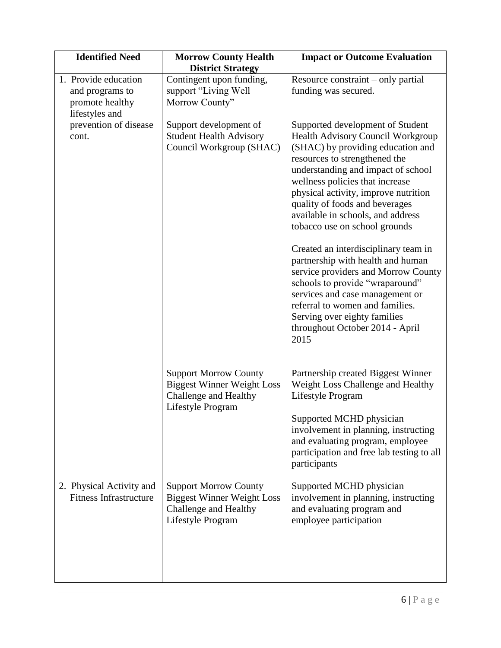| <b>Identified Need</b>                                                       | <b>Morrow County Health</b>                                                                                     | <b>Impact or Outcome Evaluation</b>                                                                                                                                                                                                                                                                                                                                                                                                                                                                                                                                                                                                                                                 |
|------------------------------------------------------------------------------|-----------------------------------------------------------------------------------------------------------------|-------------------------------------------------------------------------------------------------------------------------------------------------------------------------------------------------------------------------------------------------------------------------------------------------------------------------------------------------------------------------------------------------------------------------------------------------------------------------------------------------------------------------------------------------------------------------------------------------------------------------------------------------------------------------------------|
| 1. Provide education<br>and programs to<br>promote healthy<br>lifestyles and | <b>District Strategy</b><br>Contingent upon funding,<br>support "Living Well<br>Morrow County"                  | Resource constraint – only partial<br>funding was secured.                                                                                                                                                                                                                                                                                                                                                                                                                                                                                                                                                                                                                          |
| prevention of disease<br>cont.                                               | Support development of<br><b>Student Health Advisory</b><br>Council Workgroup (SHAC)                            | Supported development of Student<br><b>Health Advisory Council Workgroup</b><br>(SHAC) by providing education and<br>resources to strengthened the<br>understanding and impact of school<br>wellness policies that increase<br>physical activity, improve nutrition<br>quality of foods and beverages<br>available in schools, and address<br>tobacco use on school grounds<br>Created an interdisciplinary team in<br>partnership with health and human<br>service providers and Morrow County<br>schools to provide "wraparound"<br>services and case management or<br>referral to women and families.<br>Serving over eighty families<br>throughout October 2014 - April<br>2015 |
|                                                                              | <b>Support Morrow County</b><br><b>Biggest Winner Weight Loss</b><br>Challenge and Healthy<br>Lifestyle Program | Partnership created Biggest Winner<br>Weight Loss Challenge and Healthy<br>Lifestyle Program<br>Supported MCHD physician<br>involvement in planning, instructing<br>and evaluating program, employee<br>participation and free lab testing to all<br>participants                                                                                                                                                                                                                                                                                                                                                                                                                   |
| 2. Physical Activity and<br><b>Fitness Infrastructure</b>                    | <b>Support Morrow County</b><br><b>Biggest Winner Weight Loss</b><br>Challenge and Healthy<br>Lifestyle Program | Supported MCHD physician<br>involvement in planning, instructing<br>and evaluating program and<br>employee participation                                                                                                                                                                                                                                                                                                                                                                                                                                                                                                                                                            |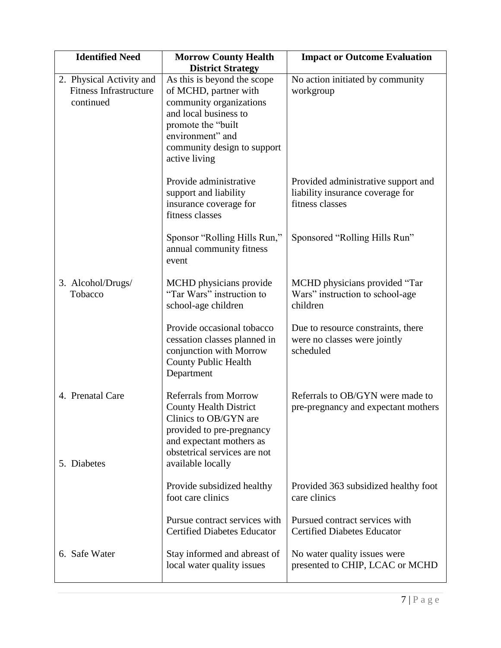| <b>Identified Need</b>                                                 | <b>Morrow County Health</b><br><b>District Strategy</b>                                                                                                                                              | <b>Impact or Outcome Evaluation</b>                                                        |
|------------------------------------------------------------------------|------------------------------------------------------------------------------------------------------------------------------------------------------------------------------------------------------|--------------------------------------------------------------------------------------------|
| 2. Physical Activity and<br><b>Fitness Infrastructure</b><br>continued | As this is beyond the scope<br>of MCHD, partner with<br>community organizations<br>and local business to<br>promote the "built<br>environment" and<br>community design to support<br>active living   | No action initiated by community<br>workgroup                                              |
|                                                                        | Provide administrative<br>support and liability<br>insurance coverage for<br>fitness classes                                                                                                         | Provided administrative support and<br>liability insurance coverage for<br>fitness classes |
|                                                                        | Sponsor "Rolling Hills Run,"<br>annual community fitness<br>event                                                                                                                                    | Sponsored "Rolling Hills Run"                                                              |
| 3. Alcohol/Drugs/<br>Tobacco                                           | MCHD physicians provide<br>"Tar Wars" instruction to<br>school-age children                                                                                                                          | MCHD physicians provided "Tar<br>Wars" instruction to school-age<br>children               |
|                                                                        | Provide occasional tobacco<br>cessation classes planned in<br>conjunction with Morrow<br><b>County Public Health</b><br>Department                                                                   | Due to resource constraints, there<br>were no classes were jointly<br>scheduled            |
| 4. Prenatal Care<br>5. Diabetes                                        | <b>Referrals from Morrow</b><br><b>County Health District</b><br>Clinics to OB/GYN are<br>provided to pre-pregnancy<br>and expectant mothers as<br>obstetrical services are not<br>available locally | Referrals to OB/GYN were made to<br>pre-pregnancy and expectant mothers                    |
|                                                                        | Provide subsidized healthy<br>foot care clinics                                                                                                                                                      | Provided 363 subsidized healthy foot<br>care clinics                                       |
|                                                                        | Pursue contract services with<br><b>Certified Diabetes Educator</b>                                                                                                                                  | Pursued contract services with<br><b>Certified Diabetes Educator</b>                       |
| 6. Safe Water                                                          | Stay informed and abreast of<br>local water quality issues                                                                                                                                           | No water quality issues were<br>presented to CHIP, LCAC or MCHD                            |